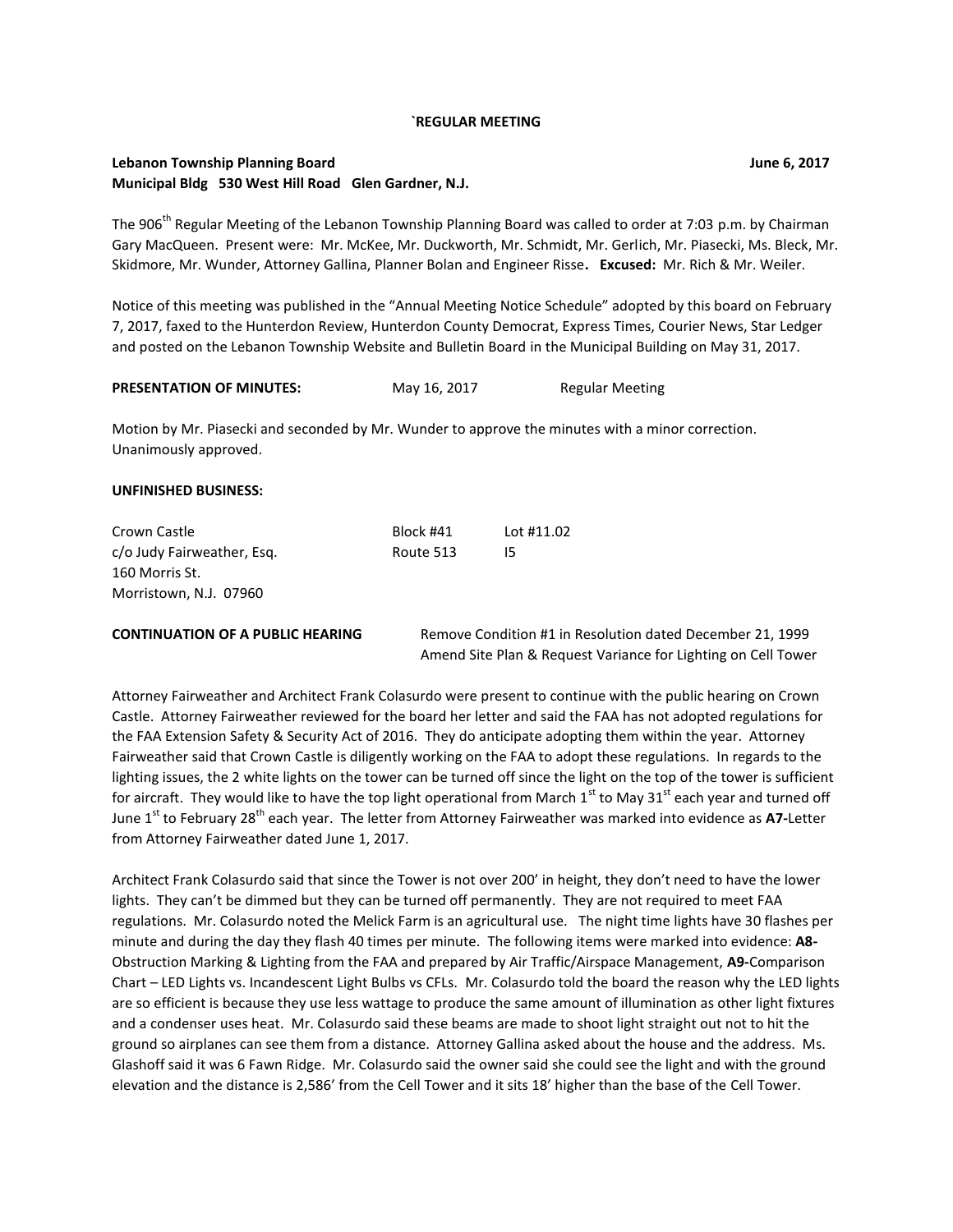#### **`REGULAR MEETING**

## **Lebanon Township Planning Board June 6, 2017 Municipal Bldg 530 West Hill Road Glen Gardner, N.J.**

The 906<sup>th</sup> Regular Meeting of the Lebanon Township Planning Board was called to order at 7:03 p.m. by Chairman Gary MacQueen. Present were: Mr. McKee, Mr. Duckworth, Mr. Schmidt, Mr. Gerlich, Mr. Piasecki, Ms. Bleck, Mr. Skidmore, Mr. Wunder, Attorney Gallina, Planner Bolan and Engineer Risse**. Excused:** Mr. Rich & Mr. Weiler.

Notice of this meeting was published in the "Annual Meeting Notice Schedule" adopted by this board on February 7, 2017, faxed to the Hunterdon Review, Hunterdon County Democrat, Express Times, Courier News, Star Ledger and posted on the Lebanon Township Website and Bulletin Board in the Municipal Building on May 31, 2017.

| <b>PRESENTATION OF MINUTES:</b> | May 16, 2017 | <b>Regular Meeting</b> |
|---------------------------------|--------------|------------------------|
|---------------------------------|--------------|------------------------|

Motion by Mr. Piasecki and seconded by Mr. Wunder to approve the minutes with a minor correction. Unanimously approved.

#### **UNFINISHED BUSINESS:**

| Crown Castle               | Block #41 | Lot #11.02 |
|----------------------------|-----------|------------|
| c/o Judy Fairweather, Esg. | Route 513 | 15.        |
| 160 Morris St.             |           |            |
| Morristown, N.J. 07960     |           |            |

**CONTINUATION OF A PUBLIC HEARING** Remove Condition #1 in Resolution dated December 21, 1999 Amend Site Plan & Request Variance for Lighting on Cell Tower

Attorney Fairweather and Architect Frank Colasurdo were present to continue with the public hearing on Crown Castle. Attorney Fairweather reviewed for the board her letter and said the FAA has not adopted regulations for the FAA Extension Safety & Security Act of 2016. They do anticipate adopting them within the year. Attorney Fairweather said that Crown Castle is diligently working on the FAA to adopt these regulations. In regards to the lighting issues, the 2 white lights on the tower can be turned off since the light on the top of the tower is sufficient for aircraft. They would like to have the top light operational from March  $1<sup>st</sup>$  to May 31<sup>st</sup> each year and turned off June 1<sup>st</sup> to February 28<sup>th</sup> each year. The letter from Attorney Fairweather was marked into evidence as A7-Letter from Attorney Fairweather dated June 1, 2017.

Architect Frank Colasurdo said that since the Tower is not over 200' in height, they don't need to have the lower lights. They can't be dimmed but they can be turned off permanently. They are not required to meet FAA regulations. Mr. Colasurdo noted the Melick Farm is an agricultural use. The night time lights have 30 flashes per minute and during the day they flash 40 times per minute. The following items were marked into evidence: **A8-** Obstruction Marking & Lighting from the FAA and prepared by Air Traffic/Airspace Management, **A9-**Comparison Chart – LED Lights vs. Incandescent Light Bulbs vs CFLs. Mr. Colasurdo told the board the reason why the LED lights are so efficient is because they use less wattage to produce the same amount of illumination as other light fixtures and a condenser uses heat. Mr. Colasurdo said these beams are made to shoot light straight out not to hit the ground so airplanes can see them from a distance. Attorney Gallina asked about the house and the address. Ms. Glashoff said it was 6 Fawn Ridge. Mr. Colasurdo said the owner said she could see the light and with the ground elevation and the distance is 2,586' from the Cell Tower and it sits 18' higher than the base of the Cell Tower.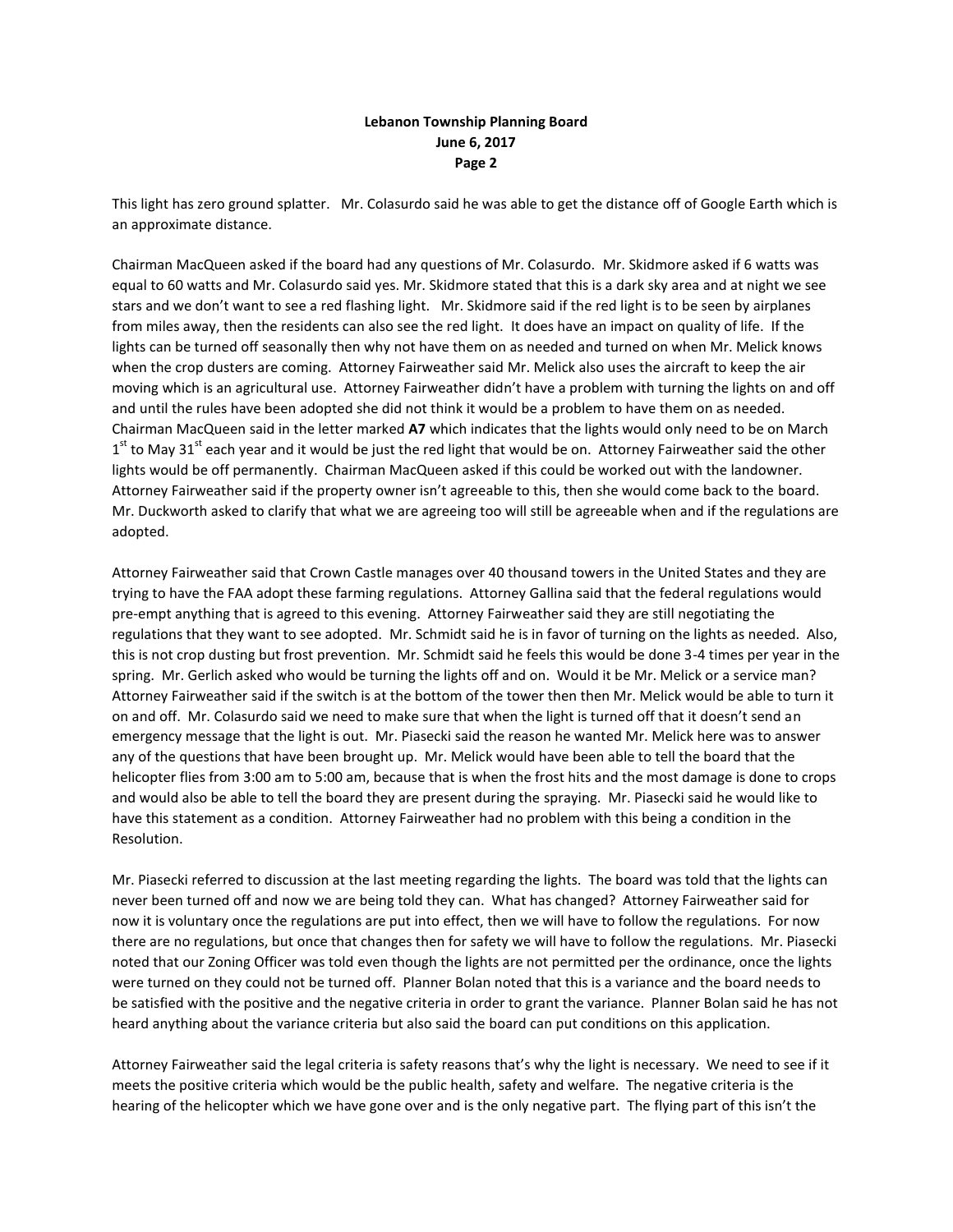This light has zero ground splatter. Mr. Colasurdo said he was able to get the distance off of Google Earth which is an approximate distance.

Chairman MacQueen asked if the board had any questions of Mr. Colasurdo. Mr. Skidmore asked if 6 watts was equal to 60 watts and Mr. Colasurdo said yes. Mr. Skidmore stated that this is a dark sky area and at night we see stars and we don't want to see a red flashing light. Mr. Skidmore said if the red light is to be seen by airplanes from miles away, then the residents can also see the red light. It does have an impact on quality of life. If the lights can be turned off seasonally then why not have them on as needed and turned on when Mr. Melick knows when the crop dusters are coming. Attorney Fairweather said Mr. Melick also uses the aircraft to keep the air moving which is an agricultural use. Attorney Fairweather didn't have a problem with turning the lights on and off and until the rules have been adopted she did not think it would be a problem to have them on as needed. Chairman MacQueen said in the letter marked **A7** which indicates that the lights would only need to be on March  $1<sup>st</sup>$  to May 31<sup>st</sup> each year and it would be just the red light that would be on. Attorney Fairweather said the other lights would be off permanently. Chairman MacQueen asked if this could be worked out with the landowner. Attorney Fairweather said if the property owner isn't agreeable to this, then she would come back to the board. Mr. Duckworth asked to clarify that what we are agreeing too will still be agreeable when and if the regulations are adopted.

Attorney Fairweather said that Crown Castle manages over 40 thousand towers in the United States and they are trying to have the FAA adopt these farming regulations. Attorney Gallina said that the federal regulations would pre-empt anything that is agreed to this evening. Attorney Fairweather said they are still negotiating the regulations that they want to see adopted. Mr. Schmidt said he is in favor of turning on the lights as needed. Also, this is not crop dusting but frost prevention. Mr. Schmidt said he feels this would be done 3-4 times per year in the spring. Mr. Gerlich asked who would be turning the lights off and on. Would it be Mr. Melick or a service man? Attorney Fairweather said if the switch is at the bottom of the tower then then Mr. Melick would be able to turn it on and off. Mr. Colasurdo said we need to make sure that when the light is turned off that it doesn't send an emergency message that the light is out. Mr. Piasecki said the reason he wanted Mr. Melick here was to answer any of the questions that have been brought up. Mr. Melick would have been able to tell the board that the helicopter flies from 3:00 am to 5:00 am, because that is when the frost hits and the most damage is done to crops and would also be able to tell the board they are present during the spraying. Mr. Piasecki said he would like to have this statement as a condition. Attorney Fairweather had no problem with this being a condition in the Resolution.

Mr. Piasecki referred to discussion at the last meeting regarding the lights. The board was told that the lights can never been turned off and now we are being told they can. What has changed? Attorney Fairweather said for now it is voluntary once the regulations are put into effect, then we will have to follow the regulations. For now there are no regulations, but once that changes then for safety we will have to follow the regulations. Mr. Piasecki noted that our Zoning Officer was told even though the lights are not permitted per the ordinance, once the lights were turned on they could not be turned off. Planner Bolan noted that this is a variance and the board needs to be satisfied with the positive and the negative criteria in order to grant the variance. Planner Bolan said he has not heard anything about the variance criteria but also said the board can put conditions on this application.

Attorney Fairweather said the legal criteria is safety reasons that's why the light is necessary. We need to see if it meets the positive criteria which would be the public health, safety and welfare. The negative criteria is the hearing of the helicopter which we have gone over and is the only negative part. The flying part of this isn't the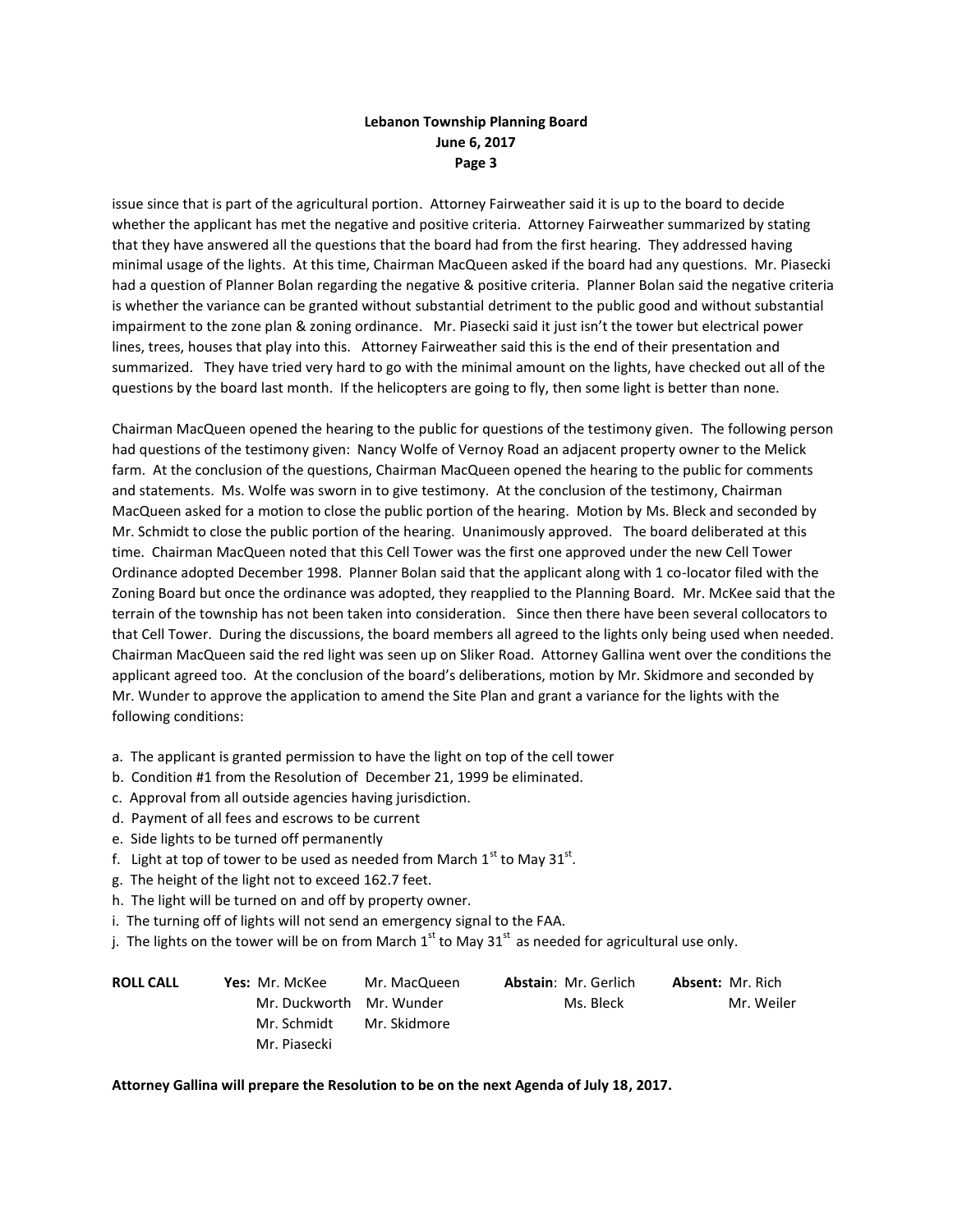issue since that is part of the agricultural portion. Attorney Fairweather said it is up to the board to decide whether the applicant has met the negative and positive criteria. Attorney Fairweather summarized by stating that they have answered all the questions that the board had from the first hearing. They addressed having minimal usage of the lights. At this time, Chairman MacQueen asked if the board had any questions. Mr. Piasecki had a question of Planner Bolan regarding the negative & positive criteria. Planner Bolan said the negative criteria is whether the variance can be granted without substantial detriment to the public good and without substantial impairment to the zone plan & zoning ordinance. Mr. Piasecki said it just isn't the tower but electrical power lines, trees, houses that play into this. Attorney Fairweather said this is the end of their presentation and summarized. They have tried very hard to go with the minimal amount on the lights, have checked out all of the questions by the board last month. If the helicopters are going to fly, then some light is better than none.

Chairman MacQueen opened the hearing to the public for questions of the testimony given. The following person had questions of the testimony given: Nancy Wolfe of Vernoy Road an adjacent property owner to the Melick farm. At the conclusion of the questions, Chairman MacQueen opened the hearing to the public for comments and statements. Ms. Wolfe was sworn in to give testimony. At the conclusion of the testimony, Chairman MacQueen asked for a motion to close the public portion of the hearing. Motion by Ms. Bleck and seconded by Mr. Schmidt to close the public portion of the hearing. Unanimously approved. The board deliberated at this time. Chairman MacQueen noted that this Cell Tower was the first one approved under the new Cell Tower Ordinance adopted December 1998. Planner Bolan said that the applicant along with 1 co-locator filed with the Zoning Board but once the ordinance was adopted, they reapplied to the Planning Board. Mr. McKee said that the terrain of the township has not been taken into consideration. Since then there have been several collocators to that Cell Tower. During the discussions, the board members all agreed to the lights only being used when needed. Chairman MacQueen said the red light was seen up on Sliker Road. Attorney Gallina went over the conditions the applicant agreed too. At the conclusion of the board's deliberations, motion by Mr. Skidmore and seconded by Mr. Wunder to approve the application to amend the Site Plan and grant a variance for the lights with the following conditions:

- a. The applicant is granted permission to have the light on top of the cell tower
- b. Condition #1 from the Resolution of December 21, 1999 be eliminated.
- c. Approval from all outside agencies having jurisdiction.
- d. Payment of all fees and escrows to be current
- e. Side lights to be turned off permanently
- f. Light at top of tower to be used as needed from March  $1^{\text{st}}$  to May 31 $^{\text{st}}$ .
- g. The height of the light not to exceed 162.7 feet.
- h. The light will be turned on and off by property owner.
- i. The turning off of lights will not send an emergency signal to the FAA.
- j. The lights on the tower will be on from March  $1<sup>st</sup>$  to May 31 $<sup>st</sup>$  as needed for agricultural use only.</sup>

| <b>ROLL CALL</b> | <b>Yes:</b> Mr. McKee    | Mr. MacQueen | <b>Abstain: Mr. Gerlich</b> | <b>Absent: Mr. Rich</b> |
|------------------|--------------------------|--------------|-----------------------------|-------------------------|
|                  | Mr. Duckworth Mr. Wunder |              | Ms. Bleck                   | Mr. Weiler              |
|                  | Mr. Schmidt              | Mr. Skidmore |                             |                         |
|                  | Mr. Piasecki             |              |                             |                         |

#### **Attorney Gallina will prepare the Resolution to be on the next Agenda of July 18, 2017.**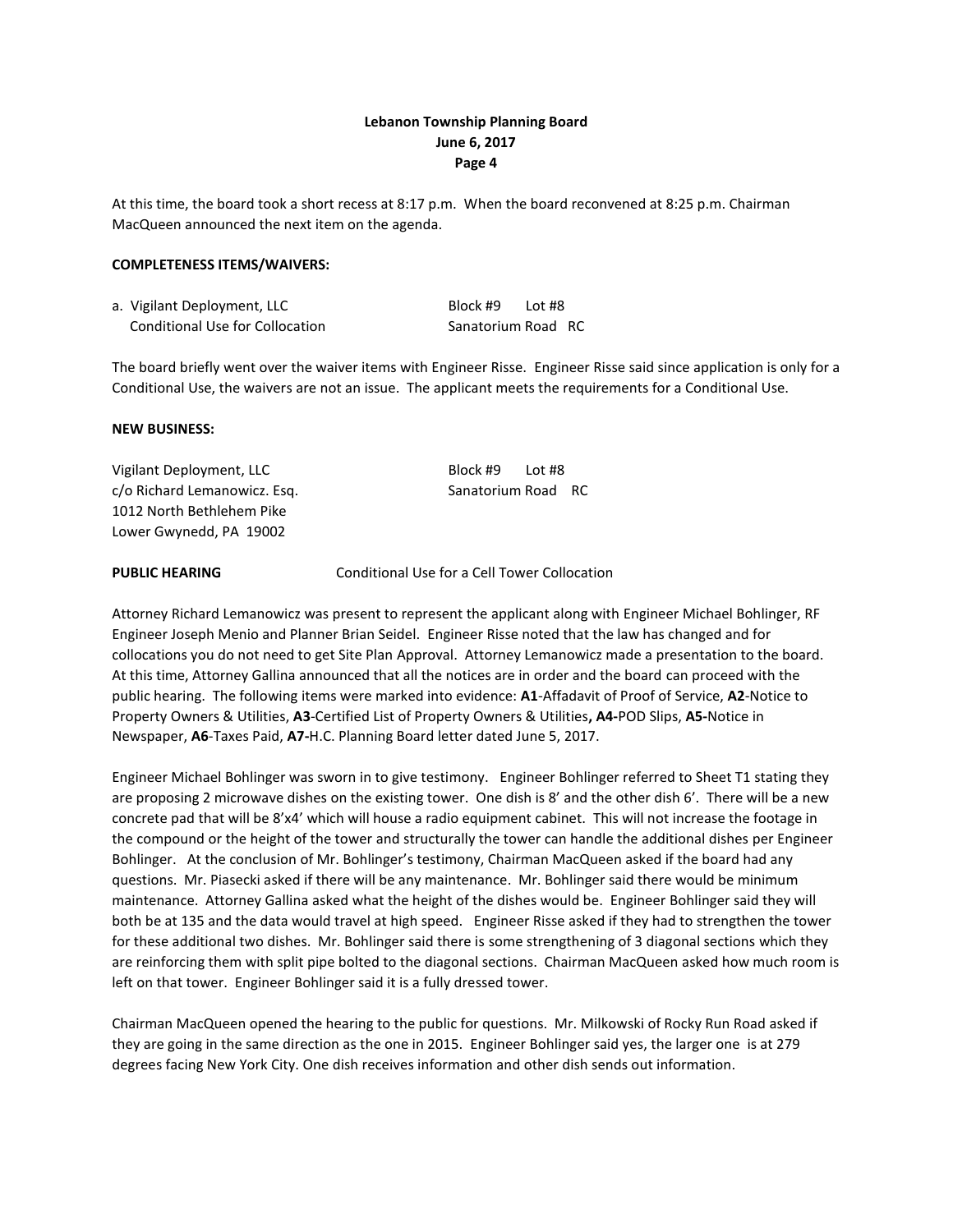At this time, the board took a short recess at 8:17 p.m. When the board reconvened at 8:25 p.m. Chairman MacQueen announced the next item on the agenda.

#### **COMPLETENESS ITEMS/WAIVERS:**

| a. Vigilant Deployment, LLC     | Block #9           | Lot # $8$ |  |
|---------------------------------|--------------------|-----------|--|
| Conditional Use for Collocation | Sanatorium Road RC |           |  |

The board briefly went over the waiver items with Engineer Risse. Engineer Risse said since application is only for a Conditional Use, the waivers are not an issue. The applicant meets the requirements for a Conditional Use.

#### **NEW BUSINESS:**

Vigilant Deployment, LLC Block #9 Lot #8 c/o Richard Lemanowicz. Esq. Sanatorium Road RC 1012 North Bethlehem Pike Lower Gwynedd, PA 19002

**PUBLIC HEARING** Conditional Use for a Cell Tower Collocation

Attorney Richard Lemanowicz was present to represent the applicant along with Engineer Michael Bohlinger, RF Engineer Joseph Menio and Planner Brian Seidel. Engineer Risse noted that the law has changed and for collocations you do not need to get Site Plan Approval. Attorney Lemanowicz made a presentation to the board. At this time, Attorney Gallina announced that all the notices are in order and the board can proceed with the public hearing. The following items were marked into evidence: **A1**-Affadavit of Proof of Service, **A2**-Notice to Property Owners & Utilities, **A3**-Certified List of Property Owners & Utilities**, A4-**POD Slips, **A5-**Notice in Newspaper, **A6**-Taxes Paid, **A7-**H.C. Planning Board letter dated June 5, 2017.

Engineer Michael Bohlinger was sworn in to give testimony. Engineer Bohlinger referred to Sheet T1 stating they are proposing 2 microwave dishes on the existing tower. One dish is 8' and the other dish 6'. There will be a new concrete pad that will be 8'x4' which will house a radio equipment cabinet. This will not increase the footage in the compound or the height of the tower and structurally the tower can handle the additional dishes per Engineer Bohlinger. At the conclusion of Mr. Bohlinger's testimony, Chairman MacQueen asked if the board had any questions. Mr. Piasecki asked if there will be any maintenance. Mr. Bohlinger said there would be minimum maintenance. Attorney Gallina asked what the height of the dishes would be. Engineer Bohlinger said they will both be at 135 and the data would travel at high speed. Engineer Risse asked if they had to strengthen the tower for these additional two dishes. Mr. Bohlinger said there is some strengthening of 3 diagonal sections which they are reinforcing them with split pipe bolted to the diagonal sections. Chairman MacQueen asked how much room is left on that tower. Engineer Bohlinger said it is a fully dressed tower.

Chairman MacQueen opened the hearing to the public for questions. Mr. Milkowski of Rocky Run Road asked if they are going in the same direction as the one in 2015. Engineer Bohlinger said yes, the larger one is at 279 degrees facing New York City. One dish receives information and other dish sends out information.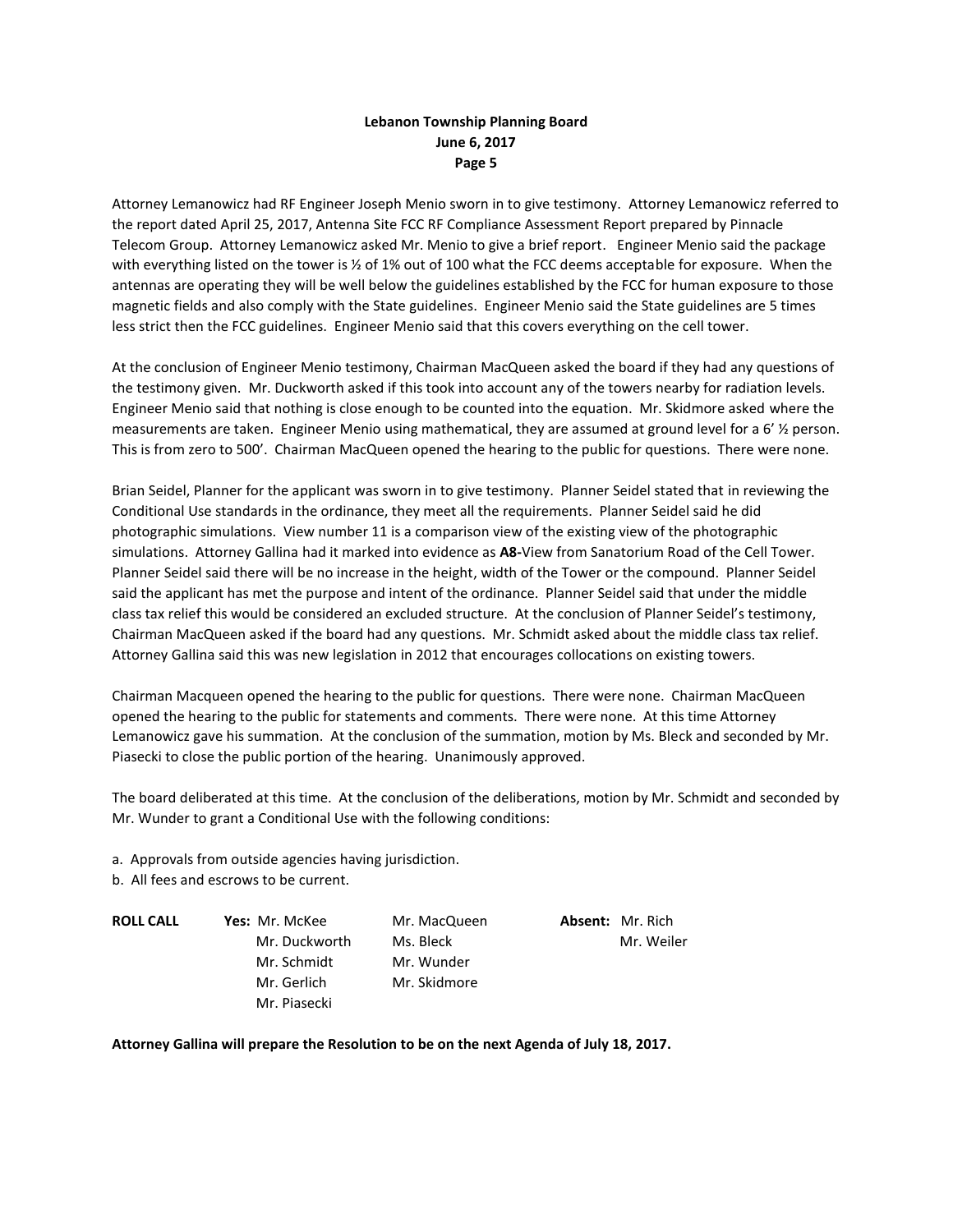Attorney Lemanowicz had RF Engineer Joseph Menio sworn in to give testimony. Attorney Lemanowicz referred to the report dated April 25, 2017, Antenna Site FCC RF Compliance Assessment Report prepared by Pinnacle Telecom Group. Attorney Lemanowicz asked Mr. Menio to give a brief report. Engineer Menio said the package with everything listed on the tower is ½ of 1% out of 100 what the FCC deems acceptable for exposure. When the antennas are operating they will be well below the guidelines established by the FCC for human exposure to those magnetic fields and also comply with the State guidelines. Engineer Menio said the State guidelines are 5 times less strict then the FCC guidelines. Engineer Menio said that this covers everything on the cell tower.

At the conclusion of Engineer Menio testimony, Chairman MacQueen asked the board if they had any questions of the testimony given. Mr. Duckworth asked if this took into account any of the towers nearby for radiation levels. Engineer Menio said that nothing is close enough to be counted into the equation. Mr. Skidmore asked where the measurements are taken. Engineer Menio using mathematical, they are assumed at ground level for a 6' ½ person. This is from zero to 500'. Chairman MacQueen opened the hearing to the public for questions. There were none.

Brian Seidel, Planner for the applicant was sworn in to give testimony. Planner Seidel stated that in reviewing the Conditional Use standards in the ordinance, they meet all the requirements. Planner Seidel said he did photographic simulations. View number 11 is a comparison view of the existing view of the photographic simulations. Attorney Gallina had it marked into evidence as **A8-**View from Sanatorium Road of the Cell Tower. Planner Seidel said there will be no increase in the height, width of the Tower or the compound. Planner Seidel said the applicant has met the purpose and intent of the ordinance. Planner Seidel said that under the middle class tax relief this would be considered an excluded structure. At the conclusion of Planner Seidel's testimony, Chairman MacQueen asked if the board had any questions. Mr. Schmidt asked about the middle class tax relief. Attorney Gallina said this was new legislation in 2012 that encourages collocations on existing towers.

Chairman Macqueen opened the hearing to the public for questions. There were none. Chairman MacQueen opened the hearing to the public for statements and comments. There were none. At this time Attorney Lemanowicz gave his summation. At the conclusion of the summation, motion by Ms. Bleck and seconded by Mr. Piasecki to close the public portion of the hearing. Unanimously approved.

The board deliberated at this time. At the conclusion of the deliberations, motion by Mr. Schmidt and seconded by Mr. Wunder to grant a Conditional Use with the following conditions:

a. Approvals from outside agencies having jurisdiction.

b. All fees and escrows to be current.

**ROLL CALL Yes:** Mr. McKee Mr. MacQueen **Absent:** Mr. Rich Mr. Duckworth Ms. Bleck Mr. Weiler Mr. Schmidt Mr. Wunder Mr. Gerlich Mr. Skidmore Mr. Piasecki

**Attorney Gallina will prepare the Resolution to be on the next Agenda of July 18, 2017.**